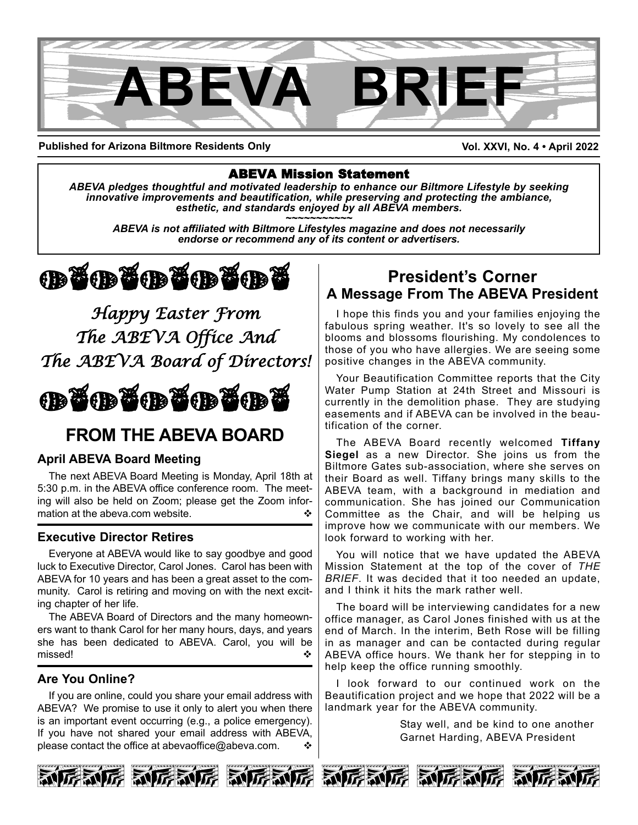

**Published for Arizona Biltmore Residents Only**

**Vol. XXVI, No. 4 • April 2022**

#### ABEVA Mission Statement

*ABEVA pledges thoughtful and motivated leadership to enhance our Biltmore Lifestyle by seeking* innovative improvements and beautification, while preserving and protecting the ambiance,<br>esthetic, and standards enjoyed by all ABEVA members.<br>ABEVA is not affiliated with Biltmore Lifestyles magazine and does not necess

*endorse or recommend any of its content or advertisers.*



*Happy Easter From The ABEVA Office And The ABEVA Board of Directors!*



# **FROM THE ABEVA BOARD**

#### **April ABEVA Board Meeting**

The next ABEVA Board Meeting is Monday, April 18th at 5:30 p.m. in the ABEVA office conference room. The meeting will also be held on Zoom; please get the Zoom information at the abeva.com website.

#### **Executive Director Retires**

Everyone at ABEVA would like to say goodbye and good luck to Executive Director, Carol Jones. Carol has been with ABEVA for 10 years and has been a great asset to the community. Carol is retiring and moving on with the next exciting chapter of her life.

The ABEVA Board of Directors and the many homeowners want to thank Carol for her many hours, days, and years she has been dedicated to ABEVA. Carol, you will be missed! v

#### **Are You Online?**

If you are online, could you share your email address with ABEVA? We promise to use it only to alert you when there is an important event occurring (e.g., a police emergency). If you have not shared your email address with ABEVA, please contact the office at abevaoffice@abeva.com.

## **President's Corner A Message From The ABEVA President**

I hope this finds you and your families enjoying the fabulous spring weather. It's so lovely to see all the blooms and blossoms flourishing. My condolences to those of you who have allergies. We are seeing some positive changes in the ABEVA community.

Your Beautification Committee reports that the City Water Pump Station at 24th Street and Missouri is currently in the demolition phase. They are studying easements and if ABEVA can be involved in the beautification of the corner.

The ABEVA Board recently welcomed **Tiffany Siegel** as a new Director. She joins us from the Biltmore Gates sub-association, where she serves on their Board as well. Tiffany brings many skills to the ABEVA team, with a background in mediation and communication. She has joined our Communication Committee as the Chair, and will be helping us improve how we communicate with our members. We look forward to working with her.

You will notice that we have updated the ABEVA Mission Statement at the top of the cover of *THE BRIEF*. It was decided that it too needed an update, and I think it hits the mark rather well.

The board will be interviewing candidates for a new office manager, as Carol Jones finished with us at the end of March. In the interim, Beth Rose will be filling in as manager and can be contacted during regular ABEVA office hours. We thank her for stepping in to help keep the office running smoothly.

I look forward to our continued work on the Beautification project and we hope that 2022 will be a landmark year for the ABEVA community.

> Stay well, and be kind to one another Garnet Harding, ABEVA President











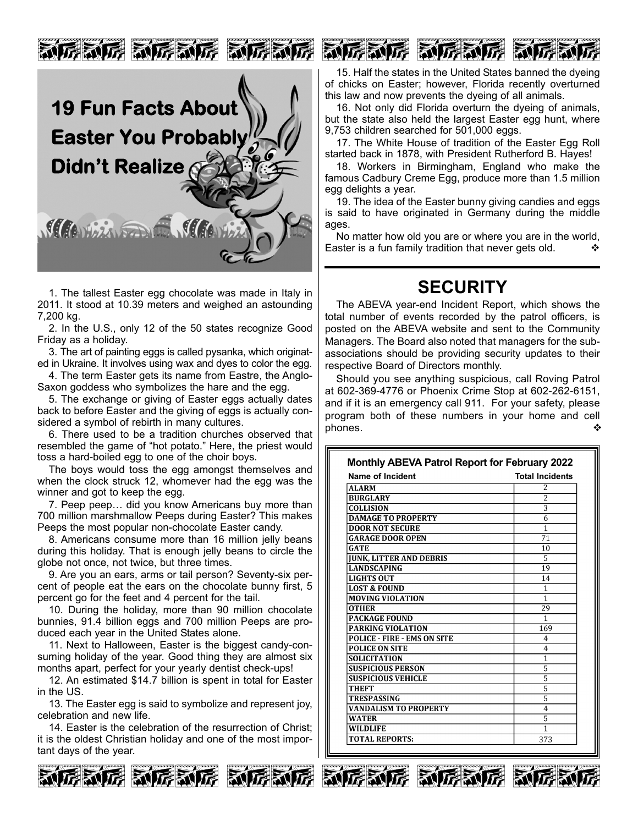

1. The tallest Easter egg chocolate was made in Italy in 2011. It stood at 10.39 meters and weighed an astounding 7,200 kg.

2. In the U.S., only 12 of the 50 states recognize Good Friday as a holiday.

3. The art of painting eggs is called pysanka, which originated in Ukraine. It involves using wax and dyes to color the egg.

4. The term Easter gets its name from Eastre, the Anglo-Saxon goddess who symbolizes the hare and the egg.

5. The exchange or giving of Easter eggs actually dates back to before Easter and the giving of eggs is actually considered a symbol of rebirth in many cultures.

6. There used to be a tradition churches observed that resembled the game of "hot potato." Here, the priest would toss a hard-boiled egg to one of the choir boys.

The boys would toss the egg amongst themselves and when the clock struck 12, whomever had the egg was the winner and got to keep the egg.

7. Peep peep… did you know Americans buy more than 700 million marshmallow Peeps during Easter? This makes Peeps the most popular non-chocolate Easter candy.

8. Americans consume more than 16 million jelly beans during this holiday. That is enough jelly beans to circle the globe not once, not twice, but three times.

9. Are you an ears, arms or tail person? Seventy-six percent of people eat the ears on the chocolate bunny first, 5 percent go for the feet and 4 percent for the tail.

10. During the holiday, more than 90 million chocolate bunnies, 91.4 billion eggs and 700 million Peeps are produced each year in the United States alone.

11. Next to Halloween, Easter is the biggest candy-consuming holiday of the year. Good thing they are almost six months apart, perfect for your yearly dentist check-ups!

12. An estimated \$14.7 billion is spent in total for Easter in the US.

13. The Easter egg is said to symbolize and represent joy, celebration and new life.

14. Easter is the celebration of the resurrection of Christ; it is the oldest Christian holiday and one of the most important days of the year.



15. Half the states in the United States banned the dyeing of chicks on Easter; however, Florida recently overturned this law and now prevents the dyeing of all animals.

16. Not only did Florida overturn the dyeing of animals, but the state also held the largest Easter egg hunt, where 9,753 children searched for 501,000 eggs.

17. The White House of tradition of the Easter Egg Roll started back in 1878, with President Rutherford B. Hayes!

18. Workers in Birmingham, England who make the famous Cadbury Creme Egg, produce more than 1.5 million egg delights a year.

19. The idea of the Easter bunny giving candies and eggs is said to have originated in Germany during the middle ages.

No matter how old you are or where you are in the world, Easter is a fun family tradition that never gets old.

## **SECURITY**

The ABEVA year-end Incident Report, which shows the total number of events recorded by the patrol officers, is posted on the ABEVA website and sent to the Community Managers. The Board also noted that managers for the subassociations should be providing security updates to their respective Board of Directors monthly.

Should you see anything suspicious, call Roving Patrol at 602-369-4776 or Phoenix Crime Stop at 602-262-6151, and if it is an emergency call 911. For your safety, please program both of these numbers in your home and cell phones.

| Name of Incident                   | <b>Total Incidents</b> |
|------------------------------------|------------------------|
| <b>ALARM</b>                       | $\overline{2}$         |
| <b>BURGLARY</b>                    | $\overline{2}$         |
| <b>COLLISION</b>                   | 3                      |
| <b>DAMAGE TO PROPERTY</b>          | 6                      |
| <b>DOOR NOT SECURE</b>             | $\overline{1}$         |
| <b>GARAGE DOOR OPEN</b>            | 71                     |
| <b>GATE</b>                        | 10                     |
| <b>JUNK, LITTER AND DEBRIS</b>     | 5                      |
| <b>LANDSCAPING</b>                 | 19                     |
| <b>LIGHTS OUT</b>                  | 14                     |
| <b>LOST &amp; FOUND</b>            | 1                      |
| <b>MOVING VIOLATION</b>            | 1                      |
| <b>OTHER</b>                       | 29                     |
| <b>PACKAGE FOUND</b>               | 1                      |
| <b>PARKING VIOLATION</b>           | 169                    |
| <b>POLICE - FIRE - EMS ON SITE</b> | 4                      |
| <b>POLICE ON SITE</b>              | 4                      |
| <b>SOLICITATION</b>                | $\mathbf{1}$           |
| <b>SUSPICIOUS PERSON</b>           | 5                      |
| <b>SUSPICIOUS VEHICLE</b>          | $\overline{5}$         |
| <b>THEFT</b>                       | $\overline{5}$         |
| <b>TRESPASSING</b>                 | 5                      |
| <b>VANDALISM TO PROPERTY</b>       | 4                      |
| <b>WATER</b>                       | 5                      |
| <b>WILDLIFE</b>                    | 1                      |
| <b>TOTAL REPORTS:</b>              | 373                    |





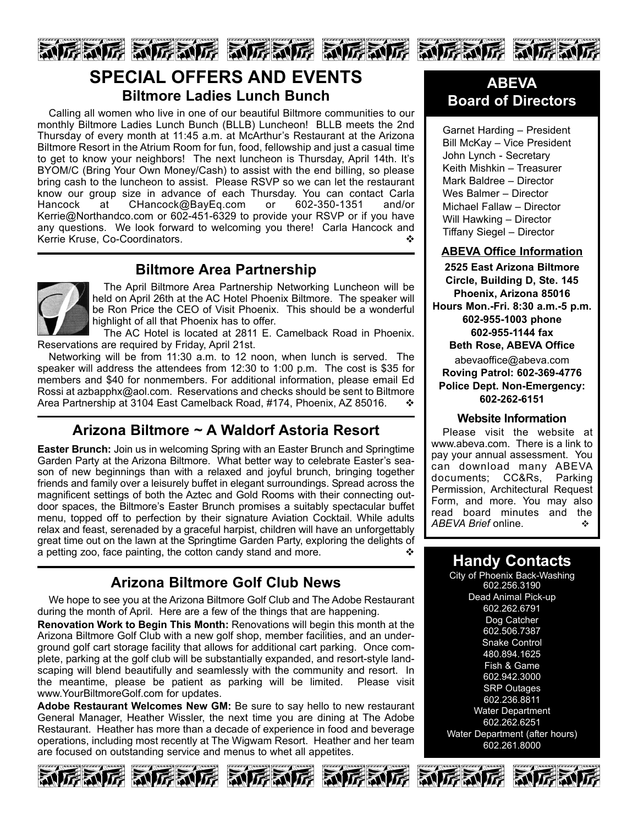

## **SPECIAL OFFERS AND EVENTS Biltmore Ladies Lunch Bunch**

Calling all women who live in one of our beautiful Biltmore communities to our monthly Biltmore Ladies Lunch Bunch (BLLB) Luncheon! BLLB meets the 2nd Thursday of every month at 11:45 a.m. at McArthur's Restaurant at the Arizona Biltmore Resort in the Atrium Room for fun, food, fellowship and just a casual time to get to know your neighbors! The next luncheon is Thursday, April 14th. It's BYOM/C (Bring Your Own Money/Cash) to assist with the end billing, so please bring cash to the luncheon to assist. Please RSVP so we can let the restaurant know our group size in advance of each Thursday. You can contact Carla Hancock at CHancock@BayEq.com or 602-350-1351 and/or Kerrie@Northandco.com or 602-451-6329 to provide your RSVP or if you have any questions. We look forward to welcoming you there! Carla Hancock and Kerrie Kruse, Co-Coordinators. v

### **Biltmore Area Partnership**



The April Biltmore Area Partnership Networking Luncheon will be held on April 26th at the AC Hotel Phoenix Biltmore. The speaker will be Ron Price the CEO of Visit Phoenix. This should be a wonderful highlight of all that Phoenix has to offer.

The AC Hotel is located at 2811 E. Camelback Road in Phoenix. Reservations are required by Friday, April 21st.

Networking will be from 11:30 a.m. to 12 noon, when lunch is served. The speaker will address the attendees from 12:30 to 1:00 p.m. The cost is \$35 for members and \$40 for nonmembers. For additional information, please email Ed Rossi at azbapphx@aol.com. Reservations and checks should be sent to Biltmore Area Partnership at 3104 East Camelback Road, #174, Phoenix, AZ 85016.  $\cdot\cdot\cdot$ 

### **Arizona Biltmore ~ A Waldorf Astoria Resort**

**Easter Brunch:** Join us in welcoming Spring with an Easter Brunch and Springtime Garden Party at the Arizona Biltmore. What better way to celebrate Easter's season of new beginnings than with a relaxed and joyful brunch, bringing together friends and family over a leisurely buffet in elegant surroundings. Spread across the magnificent settings of both the Aztec and Gold Rooms with their connecting outdoor spaces, the Biltmore's Easter Brunch promises a suitably spectacular buffet menu, topped off to perfection by their signature Aviation Cocktail. While adults relax and feast, serenaded by a graceful harpist, children will have an unforgettably great time out on the lawn at the Springtime Garden Party, exploring the delights of a petting zoo, face painting, the cotton candy stand and more.  $\cdot$ 

## **Arizona Biltmore Golf Club News**

We hope to see you at the Arizona Biltmore Golf Club and The Adobe Restaurant during the month of April. Here are a few of the things that are happening.

**Renovation Work to Begin This Month:** Renovations will begin this month at the Arizona Biltmore Golf Club with a new golf shop, member facilities, and an underground golf cart storage facility that allows for additional cart parking. Once complete, parking at the golf club will be substantially expanded, and resort-style landscaping will blend beautifully and seamlessly with the community and resort. In the meantime, please be patient as parking will be limited. Please visit www.YourBiltmoreGolf.com for updates.

**Adobe Restaurant Welcomes New GM:** Be sure to say hello to new restaurant General Manager, Heather Wissler, the next time you are dining at The Adobe Restaurant. Heather has more than a decade of experience in food and beverage operations, including most recently at The Wigwam Resort. Heather and her team are focused on outstanding service and menus to whet all appetites.









### **ABEVA Board of Directors**

Garnet Harding – President Bill McKay – Vice President John Lynch - Secretary Keith Mishkin – Treasurer Mark Baldree – Director Wes Balmer – Director Michael Fallaw – Director Will Hawking – Director Tiffany Siegel – Director

#### **ABEVA Office Information**

**2525 East Arizona Biltmore Circle, Building D, Ste. 145 Phoenix, Arizona 85016 Hours Mon.-Fri. 8:30 a.m.-5 p.m. 602-955-1003 phone 602-955-1144 fax Beth Rose, ABEVA Office** abevaoffice@abeva.com **Roving Patrol: 602-369-4776 Police Dept. Non-Emergency: 602-262-6151**

#### **Website Information**

Please visit the website at www.abeva.com. There is a link to pay your annual assessment. You can download many ABEVA documents; CC&Rs, Parking Permission, Architectural Request Form, and more. You may also read board minutes and the *ABEVA Brief* online. v

### **Handy Contacts**

City of Phoenix Back-Washing 602.256.3190 Dead Animal Pick-up 602.262.6791 Dog Catcher 602.506.7387 Snake Control 480.894.1625 Fish & Game 602.942.3000 SRP Outages 602.236.8811 Water Department 602.262.6251 Water Department (after hours) 602.261.8000